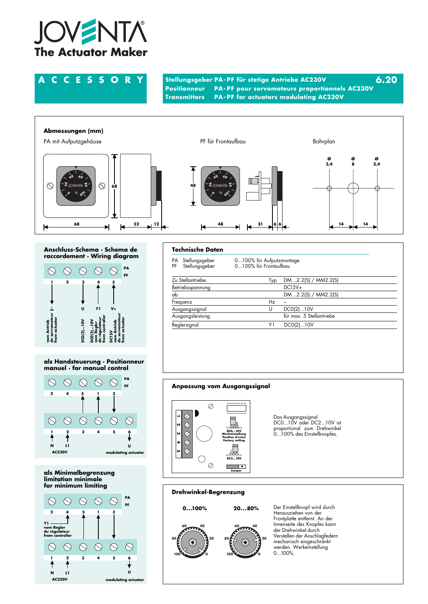

**ACCESSORY Stellungsgeber PA- PF für stetige Antriebe AC230V 6.20 PA-PF pour servomoteurs proportionnels AC230V Transmitters PA- PF for actuators modulating AC230V**



## **Anschluss-Schema · Schema de raccordement · Wiring diagram**



### **als Handsteuerung · Positionneur manuel · for manual control**



**als Minimalbegrenzung limitation minimale for minimum limiting**



# **Technische Daten**

| РA<br>PF         | Stellungsgeber<br>Stellungsgeber | 0100% für Aufputzmontage<br>0100% für Frontaufbau |                          |  |  |  |  |
|------------------|----------------------------------|---------------------------------------------------|--------------------------|--|--|--|--|
| Zu Stellantriebe |                                  | Typ                                               | $DM2.2(S)$ / $MM2.2(S)$  |  |  |  |  |
| Betriebsspannung |                                  |                                                   | $DC15V+$                 |  |  |  |  |
| ab               |                                  |                                                   | DM2.2(S) / MM2.2(S)      |  |  |  |  |
| Frequenz         |                                  | Hz                                                |                          |  |  |  |  |
| Ausgangssignal   |                                  | U                                                 | DC0(2)10V                |  |  |  |  |
| Ausgangsleistung |                                  |                                                   | für max. 5 Stellantriebe |  |  |  |  |
|                  | Reglersignal<br>Y١               |                                                   | DCO(2)10V                |  |  |  |  |

# **Anpassung vom Ausgangssignal**



Das Ausgangssignal DC0...10V oder DC2...10V ist proportional zum Drehwinkel 0...100% des Einstellknopfes.

# **Drehwinkel-Begrenzung**



Der Einstellknopf wird durch Herausziehen von der Frontplatte entfernt. An der Innenseite des Knopfes kann der Drehwinkel durch Verstellen der Anschlagfedern mechanisch eingeschränkt werden. Werkeinstellung 0...100%.